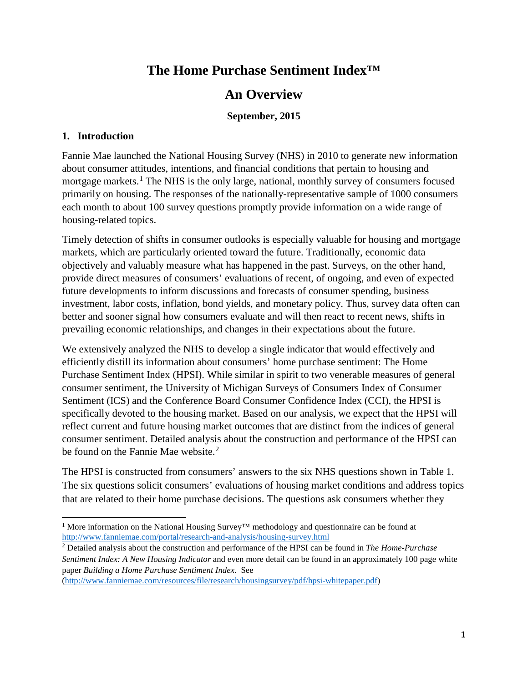# **The Home Purchase Sentiment Index™**

# **An Overview**

# **September, 2015**

## **1. Introduction**

 $\overline{a}$ 

Fannie Mae launched the National Housing Survey (NHS) in 2010 to generate new information about consumer attitudes, intentions, and financial conditions that pertain to housing and mortgage markets.<sup>[1](#page-0-0)</sup> The NHS is the only large, national, monthly survey of consumers focused primarily on housing. The responses of the nationally-representative sample of 1000 consumers each month to about 100 survey questions promptly provide information on a wide range of housing-related topics.

Timely detection of shifts in consumer outlooks is especially valuable for housing and mortgage markets, which are particularly oriented toward the future. Traditionally, economic data objectively and valuably measure what has happened in the past. Surveys, on the other hand, provide direct measures of consumers' evaluations of recent, of ongoing, and even of expected future developments to inform discussions and forecasts of consumer spending, business investment, labor costs, inflation, bond yields, and monetary policy. Thus, survey data often can better and sooner signal how consumers evaluate and will then react to recent news, shifts in prevailing economic relationships, and changes in their expectations about the future.

We extensively analyzed the NHS to develop a single indicator that would effectively and efficiently distill its information about consumers' home purchase sentiment: The Home Purchase Sentiment Index (HPSI). While similar in spirit to two venerable measures of general consumer sentiment, the University of Michigan Surveys of Consumers Index of Consumer Sentiment (ICS) and the Conference Board Consumer Confidence Index (CCI), the HPSI is specifically devoted to the housing market. Based on our analysis, we expect that the HPSI will reflect current and future housing market outcomes that are distinct from the indices of general consumer sentiment. Detailed analysis about the construction and performance of the HPSI can be found on the Fannie Mae website.<sup>[2](#page-0-1)</sup>

The HPSI is constructed from consumers' answers to the six NHS questions shown in Table 1. The six questions solicit consumers' evaluations of housing market conditions and address topics that are related to their home purchase decisions. The questions ask consumers whether they

<span id="page-0-0"></span><sup>&</sup>lt;sup>1</sup> More information on the National Housing Survey<sup>™</sup> methodology and questionnaire can be found at <http://www.fanniemae.com/portal/research-and-analysis/housing-survey.html>

<span id="page-0-1"></span><sup>2</sup> Detailed analysis about the construction and performance of the HPSI can be found in *The Home-Purchase Sentiment Index: A New Housing Indicator* and even more detail can be found in an approximately 100 page white paper *Building a Home Purchase Sentiment Index*. See

[<sup>\(</sup>http://www.fanniemae.com/resources/file/research/housingsurvey/pdf/hpsi-whitepaper.pdf\)](http://www.fanniemae.com/resources/file/research/housingsurvey/pdf/hpsi-whitepaper.pdf)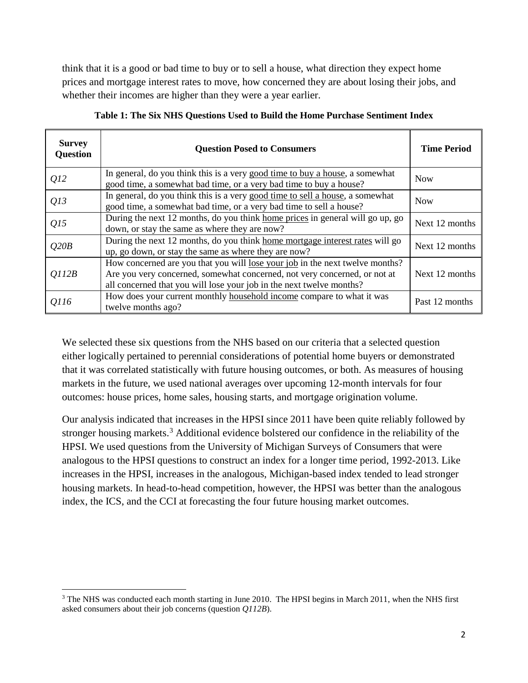think that it is a good or bad time to buy or to sell a house, what direction they expect home prices and mortgage interest rates to move, how concerned they are about losing their jobs, and whether their incomes are higher than they were a year earlier.

| <b>Survey</b><br><b>Question</b> | <b>Question Posed to Consumers</b>                                                                                                                                                                                                | <b>Time Period</b> |
|----------------------------------|-----------------------------------------------------------------------------------------------------------------------------------------------------------------------------------------------------------------------------------|--------------------|
| Q12                              | In general, do you think this is a very good time to buy a house, a somewhat<br>good time, a somewhat bad time, or a very bad time to buy a house?                                                                                | <b>Now</b>         |
| Q13                              | In general, do you think this is a very good time to sell a house, a somewhat<br>good time, a somewhat bad time, or a very bad time to sell a house?                                                                              | <b>Now</b>         |
| Q15                              | During the next 12 months, do you think home prices in general will go up, go<br>down, or stay the same as where they are now?                                                                                                    | Next 12 months     |
| Q20B                             | During the next 12 months, do you think home mortgage interest rates will go<br>up, go down, or stay the same as where they are now?                                                                                              | Next 12 months     |
| O112B                            | How concerned are you that you will lose your job in the next twelve months?<br>Are you very concerned, somewhat concerned, not very concerned, or not at<br>all concerned that you will lose your job in the next twelve months? | Next 12 months     |
| Q116                             | How does your current monthly household income compare to what it was<br>twelve months ago?                                                                                                                                       | Past 12 months     |

**Table 1: The Six NHS Questions Used to Build the Home Purchase Sentiment Index**

We selected these six questions from the NHS based on our criteria that a selected question either logically pertained to perennial considerations of potential home buyers or demonstrated that it was correlated statistically with future housing outcomes, or both. As measures of housing markets in the future, we used national averages over upcoming 12-month intervals for four outcomes: house prices, home sales, housing starts, and mortgage origination volume.

Our analysis indicated that increases in the HPSI since 2011 have been quite reliably followed by stronger housing markets.<sup>[3](#page-1-0)</sup> Additional evidence bolstered our confidence in the reliability of the HPSI. We used questions from the University of Michigan Surveys of Consumers that were analogous to the HPSI questions to construct an index for a longer time period, 1992-2013. Like increases in the HPSI, increases in the analogous, Michigan-based index tended to lead stronger housing markets. In head-to-head competition, however, the HPSI was better than the analogous index, the ICS, and the CCI at forecasting the four future housing market outcomes.

 $\overline{a}$ 

<span id="page-1-0"></span><sup>&</sup>lt;sup>3</sup> The NHS was conducted each month starting in June 2010. The HPSI begins in March 2011, when the NHS first asked consumers about their job concerns (question *Q112B*).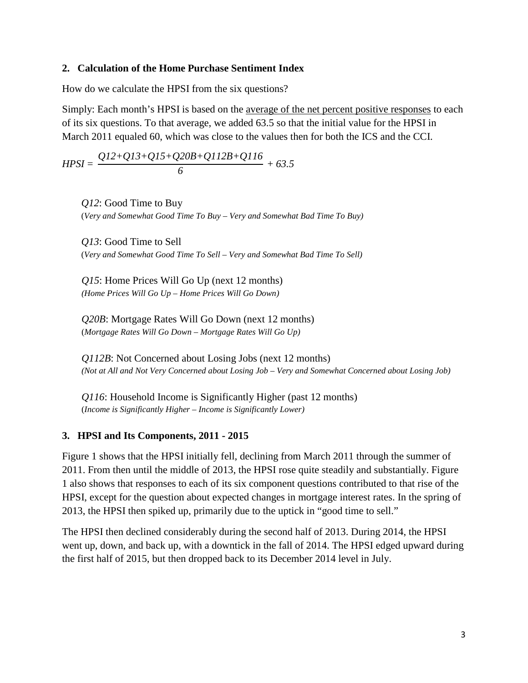#### **2. Calculation of the Home Purchase Sentiment Index**

How do we calculate the HPSI from the six questions?

Simply: Each month's HPSI is based on the average of the net percent positive responses to each of its six questions. To that average, we added 63.5 so that the initial value for the HPSI in March 2011 equaled 60, which was close to the values then for both the ICS and the CCI.

$$
HPSI = \frac{QI2 + QI3 + QI5 + Q20B + QI12B + QI16}{6} + 63.5
$$

*Q12*: Good Time to Buy (*Very and Somewhat Good Time To Buy – Very and Somewhat Bad Time To Buy)*

*Q13*: Good Time to Sell (*Very and Somewhat Good Time To Sell – Very and Somewhat Bad Time To Sell)*

*Q15*: Home Prices Will Go Up (next 12 months) *(Home Prices Will Go Up – Home Prices Will Go Down)*

*Q20B*: Mortgage Rates Will Go Down (next 12 months) (*Mortgage Rates Will Go Down – Mortgage Rates Will Go Up)*

*Q112B*: Not Concerned about Losing Jobs (next 12 months) *(Not at All and Not Very Concerned about Losing Job – Very and Somewhat Concerned about Losing Job)*

*Q116*: Household Income is Significantly Higher (past 12 months) (*Income is Significantly Higher – Income is Significantly Lower)*

### **3. HPSI and Its Components, 2011 - 2015**

Figure 1 shows that the HPSI initially fell, declining from March 2011 through the summer of 2011. From then until the middle of 2013, the HPSI rose quite steadily and substantially. Figure 1 also shows that responses to each of its six component questions contributed to that rise of the HPSI, except for the question about expected changes in mortgage interest rates. In the spring of 2013, the HPSI then spiked up, primarily due to the uptick in "good time to sell."

The HPSI then declined considerably during the second half of 2013. During 2014, the HPSI went up, down, and back up, with a downtick in the fall of 2014. The HPSI edged upward during the first half of 2015, but then dropped back to its December 2014 level in July.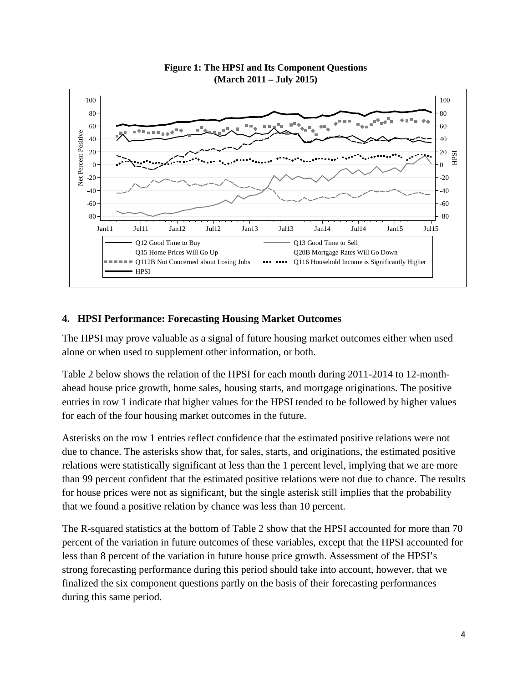

#### **Figure 1: The HPSI and Its Component Questions (March 2011 – July 2015)**

# **4. HPSI Performance: Forecasting Housing Market Outcomes**

The HPSI may prove valuable as a signal of future housing market outcomes either when used alone or when used to supplement other information, or both.

Table 2 below shows the relation of the HPSI for each month during 2011-2014 to 12-monthahead house price growth, home sales, housing starts, and mortgage originations. The positive entries in row 1 indicate that higher values for the HPSI tended to be followed by higher values for each of the four housing market outcomes in the future.

Asterisks on the row 1 entries reflect confidence that the estimated positive relations were not due to chance. The asterisks show that, for sales, starts, and originations, the estimated positive relations were statistically significant at less than the 1 percent level, implying that we are more than 99 percent confident that the estimated positive relations were not due to chance. The results for house prices were not as significant, but the single asterisk still implies that the probability that we found a positive relation by chance was less than 10 percent.

The R-squared statistics at the bottom of Table 2 show that the HPSI accounted for more than 70 percent of the variation in future outcomes of these variables, except that the HPSI accounted for less than 8 percent of the variation in future house price growth. Assessment of the HPSI's strong forecasting performance during this period should take into account, however, that we finalized the six component questions partly on the basis of their forecasting performances during this same period.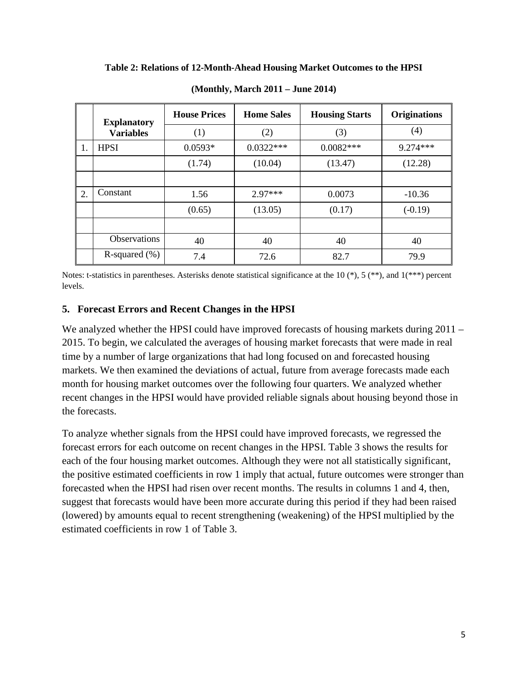| Table 2: Relations of 12-Month-Ahead Housing Market Outcomes to the HPSI |  |  |  |
|--------------------------------------------------------------------------|--|--|--|
|--------------------------------------------------------------------------|--|--|--|

|    | <b>Explanatory</b>  | <b>House Prices</b> | <b>Home Sales</b><br><b>Housing Starts</b> |             | <b>Originations</b> |
|----|---------------------|---------------------|--------------------------------------------|-------------|---------------------|
|    | <b>Variables</b>    | (1)                 | (2)                                        | (3)         | (4)                 |
| 1. | <b>HPSI</b>         | $0.0593*$           | $0.0322***$                                | $0.0082***$ | $9.274***$          |
|    |                     | (1.74)              | (10.04)                                    | (13.47)     | (12.28)             |
|    |                     |                     |                                            |             |                     |
| 2. | Constant            | 1.56                | $2.97***$                                  | 0.0073      | $-10.36$            |
|    |                     | (0.65)              | (13.05)                                    | (0.17)      | $(-0.19)$           |
|    |                     |                     |                                            |             |                     |
|    | <b>Observations</b> | 40                  | 40                                         | 40          | 40                  |
|    | R-squared $(\% )$   | 7.4                 | 72.6                                       | 82.7        | 79.9                |

**(Monthly, March 2011 – June 2014)**

Notes: t-statistics in parentheses. Asterisks denote statistical significance at the 10 (\*), 5 (\*\*), and 1(\*\*\*) percent levels.

### **5. Forecast Errors and Recent Changes in the HPSI**

We analyzed whether the HPSI could have improved forecasts of housing markets during 2011 – 2015. To begin, we calculated the averages of housing market forecasts that were made in real time by a number of large organizations that had long focused on and forecasted housing markets. We then examined the deviations of actual, future from average forecasts made each month for housing market outcomes over the following four quarters. We analyzed whether recent changes in the HPSI would have provided reliable signals about housing beyond those in the forecasts.

To analyze whether signals from the HPSI could have improved forecasts, we regressed the forecast errors for each outcome on recent changes in the HPSI. [Table 3](#page-5-0) shows the results for each of the four housing market outcomes. Although they were not all statistically significant, the positive estimated coefficients in row 1 imply that actual, future outcomes were stronger than forecasted when the HPSI had risen over recent months. The results in columns 1 and 4, then, suggest that forecasts would have been more accurate during this period if they had been raised (lowered) by amounts equal to recent strengthening (weakening) of the HPSI multiplied by the estimated coefficients in row 1 of Table 3.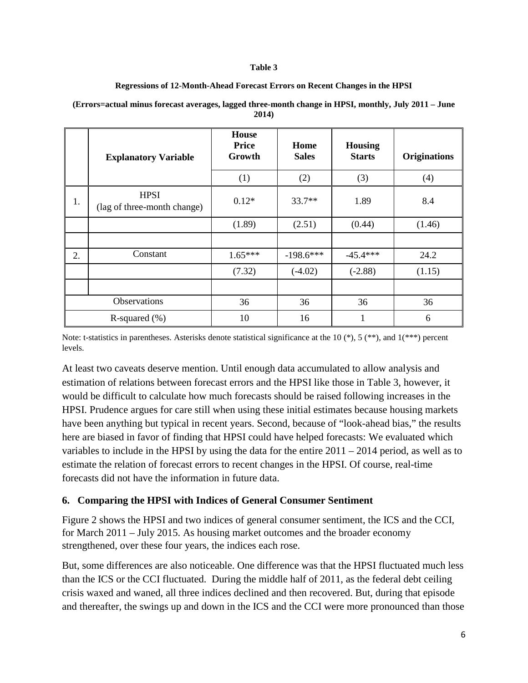#### **Table 3**

#### **Regressions of 12-Month-Ahead Forecast Errors on Recent Changes in the HPSI**

|                   | <b>Explanatory Variable</b>                | <b>House</b><br><b>Price</b><br>Growth<br>(1) | Home<br><b>Sales</b><br>(2) | <b>Housing</b><br><b>Starts</b><br>(3) | <b>Originations</b><br>(4) |
|-------------------|--------------------------------------------|-----------------------------------------------|-----------------------------|----------------------------------------|----------------------------|
| 1.                | <b>HPSI</b><br>(lag of three-month change) | $0.12*$                                       | $33.7**$                    | 1.89                                   | 8.4                        |
|                   |                                            | (1.89)                                        | (2.51)                      | (0.44)                                 | (1.46)                     |
|                   |                                            |                                               |                             |                                        |                            |
| 2.                | Constant                                   | $1.65***$                                     | $-198.6***$                 | $-45.4***$                             | 24.2                       |
|                   |                                            | (7.32)                                        | $(-4.02)$                   | $(-2.88)$                              | (1.15)                     |
|                   |                                            |                                               |                             |                                        |                            |
| Observations      |                                            | 36                                            | 36                          | 36                                     | 36                         |
| R-squared $(\% )$ |                                            | 10                                            | 16                          | 1                                      | 6                          |

#### <span id="page-5-0"></span>**(Errors=actual minus forecast averages, lagged three-month change in HPSI, monthly, July 2011 – June 2014)**

Note: t-statistics in parentheses. Asterisks denote statistical significance at the 10  $(*)$ , 5  $(**)$ , and 1 $(***)$  percent levels.

At least two caveats deserve mention. Until enough data accumulated to allow analysis and estimation of relations between forecast errors and the HPSI like those in [Table 3,](#page-5-0) however, it would be difficult to calculate how much forecasts should be raised following increases in the HPSI. Prudence argues for care still when using these initial estimates because housing markets have been anything but typical in recent years. Second, because of "look-ahead bias," the results here are biased in favor of finding that HPSI could have helped forecasts: We evaluated which variables to include in the HPSI by using the data for the entire 2011 – 2014 period, as well as to estimate the relation of forecast errors to recent changes in the HPSI. Of course, real-time forecasts did not have the information in future data.

# **6. Comparing the HPSI with Indices of General Consumer Sentiment**

Figure 2 shows the HPSI and two indices of general consumer sentiment, the ICS and the CCI, for March 2011 – July 2015. As housing market outcomes and the broader economy strengthened, over these four years, the indices each rose.

But, some differences are also noticeable. One difference was that the HPSI fluctuated much less than the ICS or the CCI fluctuated. During the middle half of 2011, as the federal debt ceiling crisis waxed and waned, all three indices declined and then recovered. But, during that episode and thereafter, the swings up and down in the ICS and the CCI were more pronounced than those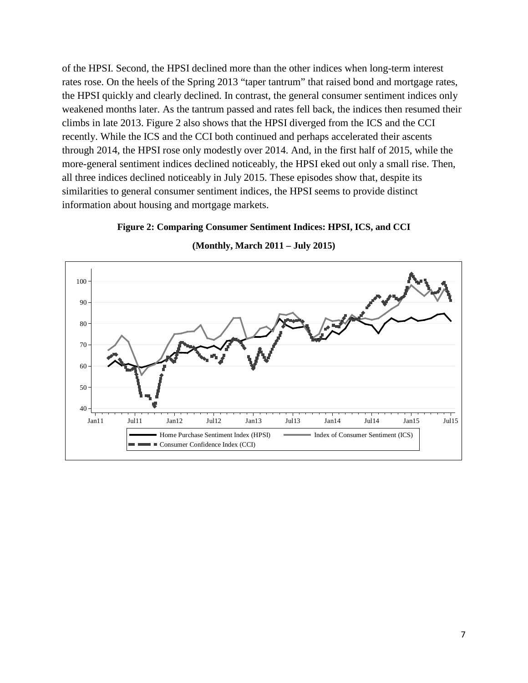of the HPSI. Second, the HPSI declined more than the other indices when long-term interest rates rose. On the heels of the Spring 2013 "taper tantrum" that raised bond and mortgage rates, the HPSI quickly and clearly declined. In contrast, the general consumer sentiment indices only weakened months later. As the tantrum passed and rates fell back, the indices then resumed their climbs in late 2013. Figure 2 also shows that the HPSI diverged from the ICS and the CCI recently. While the ICS and the CCI both continued and perhaps accelerated their ascents through 2014, the HPSI rose only modestly over 2014. And, in the first half of 2015, while the more-general sentiment indices declined noticeably, the HPSI eked out only a small rise. Then, all three indices declined noticeably in July 2015. These episodes show that, despite its similarities to general consumer sentiment indices, the HPSI seems to provide distinct information about housing and mortgage markets.

#### **Figure 2: Comparing Consumer Sentiment Indices: HPSI, ICS, and CCI**



**(Monthly, March 2011 – July 2015)**